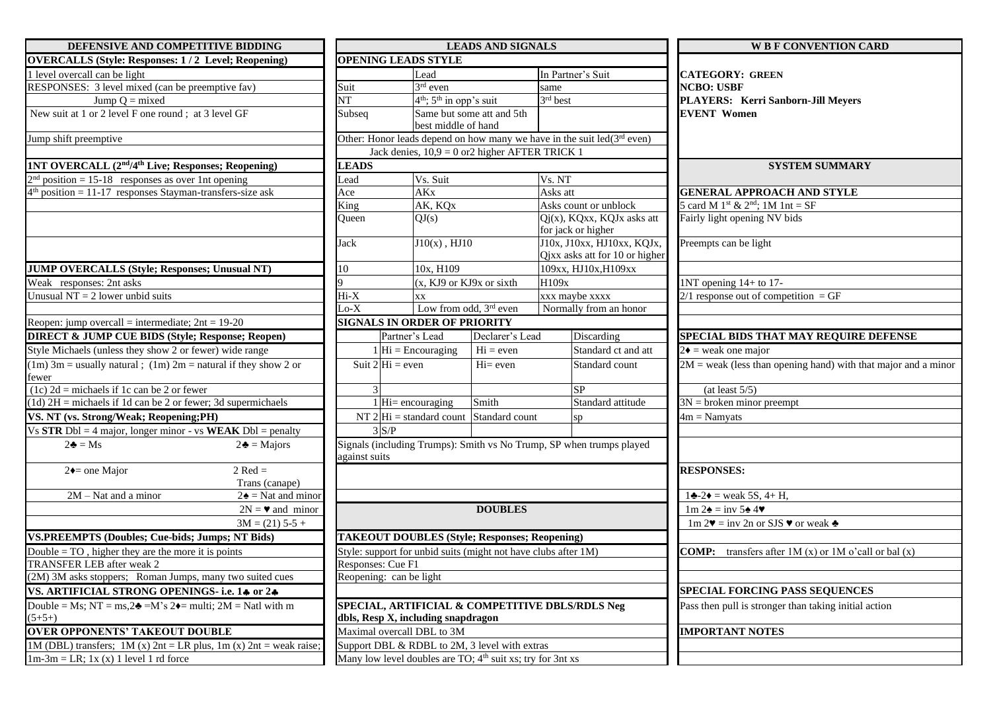| DEFENSIVE AND COMPETITIVE BIDDING                                                       |                   | <b>LEADS AND SIGNALS</b>                                               |                                                     |                                                                              | <b>W B F CONVENTION CARD</b>                                       |  |
|-----------------------------------------------------------------------------------------|-------------------|------------------------------------------------------------------------|-----------------------------------------------------|------------------------------------------------------------------------------|--------------------------------------------------------------------|--|
| <b>OVERCALLS (Style: Responses: 1/2 Level; Reopening)</b>                               |                   | <b>OPENING LEADS STYLE</b>                                             |                                                     |                                                                              |                                                                    |  |
| 1 level overcall can be light                                                           |                   | Lead                                                                   |                                                     | In Partner's Suit                                                            | <b>CATEGORY: GREEN</b><br><b>NCBO: USBF</b>                        |  |
| RESPONSES: 3 level mixed (can be preemptive fav)                                        | Suit              | 3rd even                                                               |                                                     | same                                                                         |                                                                    |  |
| Jump $Q = mixed$                                                                        | NT                | $4th$ ; $5th$ in opp's suit                                            |                                                     | 3rd best                                                                     | PLAYERS: Kerri Sanborn-Jill Meyers                                 |  |
| New suit at 1 or 2 level F one round; at 3 level GF                                     | Subseq            |                                                                        | Same but some att and 5th                           |                                                                              | <b>EVENT Women</b>                                                 |  |
|                                                                                         |                   | best middle of hand                                                    |                                                     |                                                                              |                                                                    |  |
| Jump shift preemptive                                                                   |                   |                                                                        |                                                     | Other: Honor leads depend on how many we have in the suit $led(3^{rd}$ even) |                                                                    |  |
|                                                                                         |                   | Jack denies, $10,9 = 0$ or 2 higher AFTER TRICK 1                      |                                                     |                                                                              |                                                                    |  |
| <b>1NT OVERCALL (2<sup>nd</sup>/4<sup>th</sup> Live; Responses; Reopening)</b>          | <b>LEADS</b>      |                                                                        |                                                     |                                                                              | <b>SYSTEM SUMMARY</b>                                              |  |
| position = $15-18$ responses as over 1nt opening                                        | Lead              | Vs. Suit                                                               |                                                     | Vs. NT                                                                       |                                                                    |  |
| $position = 11-17$ responses Stayman-transfers-size ask                                 | Ace               | <b>AKx</b>                                                             |                                                     | Asks att                                                                     | <b>GENERAL APPROACH AND STYLE</b>                                  |  |
|                                                                                         |                   | King<br>AK, KQx                                                        |                                                     | Asks count or unblock                                                        | 5 card M 1 <sup>st</sup> & 2 <sup>nd</sup> ; 1M 1nt = SF           |  |
|                                                                                         | Oueen             | QJ(s)                                                                  | $Qj(x)$ , KQxx, KQJx asks att<br>for jack or higher |                                                                              | Fairly light opening NV bids                                       |  |
|                                                                                         | Jack              | $J10(x)$ , $HJ10$                                                      |                                                     | J10x, J10xx, HJ10xx, KQJx,                                                   | Preempts can be light                                              |  |
|                                                                                         |                   |                                                                        |                                                     | Qjxx asks att for 10 or higher                                               |                                                                    |  |
| <b>JUMP OVERCALLS (Style; Responses; Unusual NT)</b>                                    | 10                | 10x, H109                                                              |                                                     | 109xx, HJ10x, H109xx                                                         |                                                                    |  |
| Weak responses: 2nt asks                                                                |                   |                                                                        | (x, KJ9 or KJ9x or sixth                            | H109x                                                                        | 1NT opening 14+ to 17-                                             |  |
| Unusual $NT = 2$ lower unbid suits                                                      | $Hi-X$            | XX                                                                     |                                                     | xxx maybe xxxx                                                               | $2/1$ response out of competition = GF                             |  |
|                                                                                         | $Lo-X$            |                                                                        | Low from odd, 3rd even                              | Normally from an honor                                                       |                                                                    |  |
| Reopen: jump overcall = intermediate; $2nt = 19-20$                                     |                   | <b>SIGNALS IN ORDER OF PRIORITY</b>                                    |                                                     |                                                                              |                                                                    |  |
| <b>DIRECT &amp; JUMP CUE BIDS (Style; Response; Reopen)</b>                             |                   | Partner's Lead                                                         | Declarer's Lead                                     | Discarding                                                                   | <b>SPECIAL BIDS THAT MAY REQUIRE DEFENSE</b>                       |  |
| Style Michaels (unless they show 2 or fewer) wide range                                 |                   | $Hi = Encouraging$                                                     | $Hi = even$                                         | Standard ct and att                                                          | $2\bullet$ = weak one major                                        |  |
| $(1m)$ 3m = usually natural; $(1m)$ 2m = natural if they show 2 or<br>fewer             |                   | Suit $2 Hi $ = even                                                    | $Hi = even$                                         | Standard count                                                               | $2M$ = weak (less than opening hand) with that major and a minor   |  |
| (1c) $2d$ = michaels if 1c can be $\overline{2}$ or fewer                               |                   |                                                                        |                                                     | <b>SP</b>                                                                    | (at least 5/5)                                                     |  |
| $(1d)$ 2H = michaels if 1d can be 2 or fewer; 3d supermichaels                          |                   | $1$ Hi= encouraging                                                    | Smith                                               | Standard attitude                                                            | $3N =$ broken minor preempt                                        |  |
| VS. NT (vs. Strong/Weak; Reopening;PH)                                                  |                   | $NT 2 Hi = standard count$ Standard count                              |                                                     | sp                                                                           | $4m =$ Namyats                                                     |  |
| Vs STR Dbl = 4 major, longer minor - vs WEAK Dbl = penalty                              |                   | 3 S/P                                                                  |                                                     |                                                                              |                                                                    |  |
| $2\clubsuit = Ms$<br>$2\clubsuit$ = Majors                                              |                   |                                                                        |                                                     | Signals (including Trumps): Smith vs No Trump, SP when trumps played         |                                                                    |  |
|                                                                                         | against suits     |                                                                        |                                                     |                                                                              |                                                                    |  |
| $2 \text{ Red} =$<br>$2 \leftarrow$ one Major<br>Trans (canape)                         |                   |                                                                        |                                                     |                                                                              | <b>RESPONSES:</b>                                                  |  |
| $2\triangleq$ = Nat and minor<br>$2M - Nat$ and a minor                                 |                   |                                                                        |                                                     |                                                                              | $1\clubsuit -2\bullet =$ weak 5S, 4+ H.                            |  |
| $2N = 4$ and minor                                                                      |                   |                                                                        | <b>DOUBLES</b>                                      |                                                                              | $1m 2\phi = inv 5\phi 4\blacktriangledown$                         |  |
| $3M = (21) 5 - 5 +$                                                                     |                   |                                                                        |                                                     |                                                                              | $1m 2\Psi = inv 2n$ or SJS $\Psi$ or weak $\triangleq$             |  |
| <b>VS.PREEMPTS (Doubles; Cue-bids; Jumps; NT Bids)</b>                                  |                   | <b>TAKEOUT DOUBLES (Style; Responses; Reopening)</b>                   |                                                     |                                                                              |                                                                    |  |
| Double $=$ TO, higher they are the more it is points                                    |                   | Style: support for unbid suits (might not have clubs after 1M)         |                                                     |                                                                              | <b>COMP:</b> transfers after $1M(x)$ or $1M_0$ o'call or bal $(x)$ |  |
| <b>TRANSFER LEB</b> after weak 2                                                        | Responses: Cue F1 |                                                                        |                                                     |                                                                              |                                                                    |  |
| (2M) 3M asks stoppers; Roman Jumps, many two suited cues                                |                   | Reopening: can be light                                                |                                                     |                                                                              |                                                                    |  |
| VS. ARTIFICIAL STRONG OPENINGS- i.e. 14 or 24                                           |                   |                                                                        |                                                     |                                                                              | <b>SPECIAL FORCING PASS SEQUENCES</b>                              |  |
| Double = Ms; NT = ms, $2\triangleleft$ = M's $2\triangleleft$ = multi; 2M = Natl with m |                   |                                                                        |                                                     | SPECIAL, ARTIFICIAL & COMPETITIVE DBLS/RDLS Neg                              | Pass then pull is stronger than taking initial action              |  |
| $(5+5+)$                                                                                |                   | dbls, Resp X, including snapdragon                                     |                                                     |                                                                              |                                                                    |  |
| <b>OVER OPPONENTS' TAKEOUT DOUBLE</b>                                                   |                   | Maximal overcall DBL to 3M                                             |                                                     |                                                                              | <b>IMPORTANT NOTES</b>                                             |  |
| 1M (DBL) transfers; 1M (x) $2nt = LR$ plus, 1m (x) $2nt = weak$ raise;                  |                   | Support DBL & RDBL to 2M, 3 level with extras                          |                                                     |                                                                              |                                                                    |  |
| $1m-3m = LR$ ; 1x (x) 1 level 1 rd force                                                |                   | Many low level doubles are TO; 4 <sup>th</sup> suit xs; try for 3nt xs |                                                     |                                                                              |                                                                    |  |